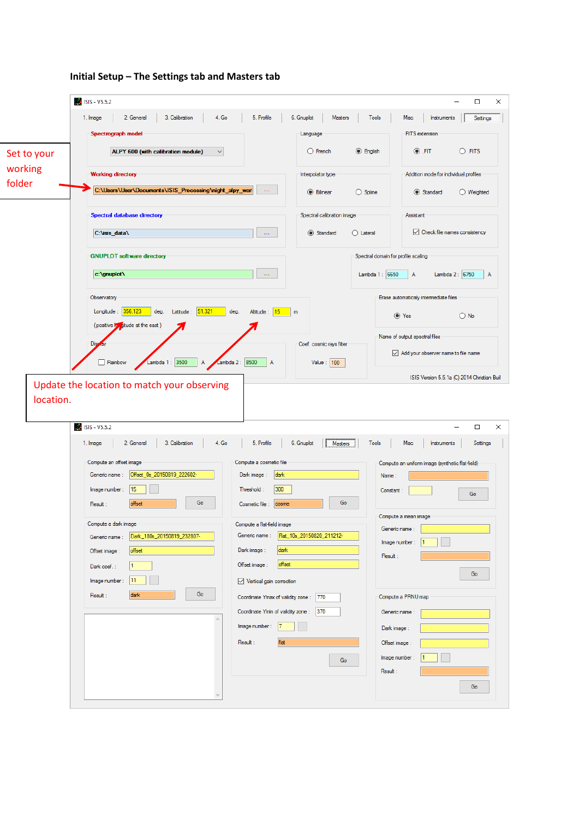|             | ISIS - V5.5.2                                                                                      |                                                                         | $\Box$<br>×                                                             |
|-------------|----------------------------------------------------------------------------------------------------|-------------------------------------------------------------------------|-------------------------------------------------------------------------|
|             | 2. General<br>3. Calibration<br>4. Go<br>1. Image                                                  | 5. Profile<br>6. Gnuplot<br>Masters                                     | <b>Tools</b><br>Misc<br>Instruments<br>Settings                         |
|             | Spectrograph model                                                                                 | Language                                                                | FITS extension                                                          |
| Set to your | ALPY 600 (with calibration module)<br>$\checkmark$                                                 | $\bigcirc$ French                                                       | $\odot$ .FIT<br>$O$ .FITS<br><b>C</b> English                           |
| working     | <b>Working directory</b>                                                                           | Interpolator type                                                       | Addition mode for individual profiles                                   |
| folder      | C:\Users\User\Documents\ISIS_Processing\night_alpy_worl                                            | $\ldots$<br><b>O</b> Bilinear                                           | $\bigcirc$ Spline<br>Standard<br>$\bigcirc$ Weighted                    |
|             | Spectral database directory                                                                        | Spectral calibration image                                              | Assistant                                                               |
|             | C:\isis_data\                                                                                      | Standard<br>Щ,                                                          | $\sqrt{\phantom{a}}$ Check file names consistency<br>$\bigcirc$ Lateral |
|             | <b>GNUPLOT</b> software directory                                                                  |                                                                         | Spectral domain for profile scaling                                     |
|             | c:\gnuplot\                                                                                        | 44                                                                      | Lambda 1: 6650<br>Lambda 2: 6750<br>Α<br>A                              |
|             | Observatory                                                                                        |                                                                         | Erase automaticaly intermediate files                                   |
|             | 356.123<br>51.321<br>deg.<br>Longitude :<br>deg.<br>Latitude :<br>(positive ky ditude at the east) | Altitude: 15<br>m                                                       | $\odot$ Yes<br>$\bigcirc$ No                                            |
|             | <b>Disp</b>                                                                                        | Coef. cosmic rays filter                                                | Name of output spectral files                                           |
|             | Lambda 2 : 8500<br>Lambda 1 : 3500<br>Rainbow                                                      | $\overline{A}$<br>Value : $ 100 $                                       | Add your observer name to file name                                     |
|             |                                                                                                    |                                                                         | ISIS Version 5.5.1a (C) 2014 Christian Buil                             |
| location.   | Update the location to match your observing                                                        |                                                                         |                                                                         |
|             | ISIS - V5.5.2                                                                                      |                                                                         | $\Box$<br>×                                                             |
|             | 2. General<br>3. Calibration<br>4. Go<br>1. Image                                                  | 5. Profile<br>6. Gnuplot<br>Masters                                     | Settings<br><b>Tools</b><br>Misc<br>Instruments                         |
|             | Compute an offset image                                                                            | Compute a cosmetic file                                                 | Compute an uniform image (synthetic flat-field)                         |
|             | Offset_0s_20150819_222602-<br>Generic name:                                                        | dark<br>Dark image:                                                     | Name:                                                                   |
|             | 15<br>Image number:<br>Go<br>offset<br>Result:                                                     | 300<br>Threshold:<br>Go<br>Cosmetic file :<br>cosme                     | Constant:<br>Go                                                         |
|             |                                                                                                    |                                                                         | Compute a mean image                                                    |
|             | Compute a dark image<br>Dark_180s_20150819_232807-                                                 | Compute a flat-field image<br>Generic name:   Flat_10s_20150820_211212- | Generic name:                                                           |
|             | Generic name:<br>offset<br>Offset image:                                                           | Dark image:<br>dark                                                     | Image number:                                                           |
|             | 1<br>Dark coef.:                                                                                   | offset<br>Offset image:                                                 | Result :                                                                |
|             | 11<br>Image number:                                                                                | $\vee$ Vertical gain correction                                         | Go                                                                      |
|             | Go<br><b>dark</b><br>Result :                                                                      |                                                                         |                                                                         |
|             |                                                                                                    | Coordinate Ymax of validity zone: 770                                   | Compute a PRNU map                                                      |
|             |                                                                                                    | Coordinate Ymin of validity zone: 370<br>$\vert$ 7                      | Generic name:                                                           |
|             |                                                                                                    | Image number :                                                          | Dark image:                                                             |
|             |                                                                                                    | flat<br>Result :                                                        | Offset image:                                                           |
|             |                                                                                                    | Go                                                                      | Image number:                                                           |
|             | $\sim$                                                                                             |                                                                         | Result :<br>Go                                                          |
|             |                                                                                                    |                                                                         |                                                                         |

## **Initial Setup – The Settings tab and Masters tab**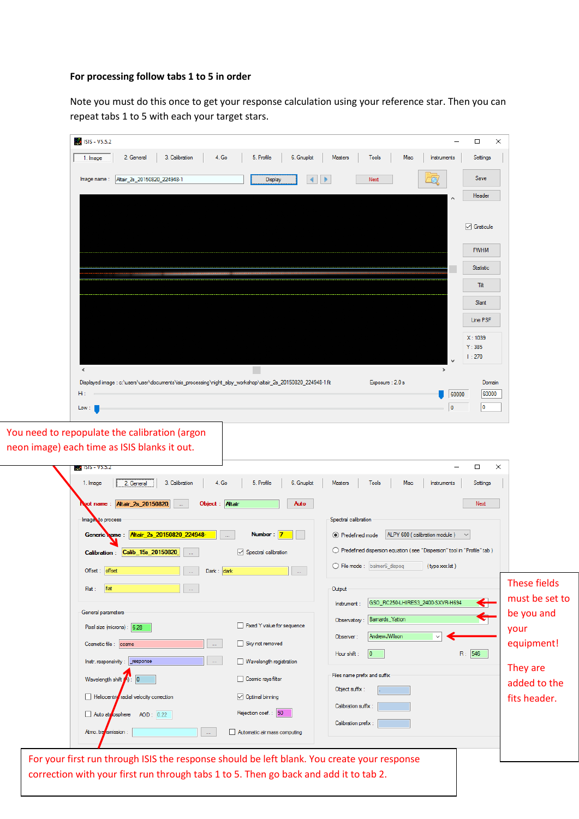## **For processing follow tabs 1 to 5 in order**

Note you must do this once to get your response calculation using your reference star. Then you can repeat tabs 1 to 5 with each your target stars.

| ISIS - V5.5.2                                                                                                            |                                                           |                                                                           |                                  |                                |
|--------------------------------------------------------------------------------------------------------------------------|-----------------------------------------------------------|---------------------------------------------------------------------------|----------------------------------|--------------------------------|
| 2. General<br>3. Calibration<br>1. Image                                                                                 | 4. Go<br>5. Profile<br>6. Gnuplot                         | Masters<br><b>Tools</b>                                                   | Misc<br>Instruments              | Settings                       |
| Altair_2s_20150820_224948-1<br>Image name:                                                                               | Display                                                   | Next                                                                      |                                  | Save                           |
|                                                                                                                          |                                                           |                                                                           |                                  | Header                         |
|                                                                                                                          |                                                           |                                                                           |                                  |                                |
|                                                                                                                          |                                                           |                                                                           |                                  | $\sqrt{ }$ Graticule           |
|                                                                                                                          |                                                           |                                                                           |                                  | <b>FWHM</b>                    |
|                                                                                                                          |                                                           |                                                                           |                                  | <b>Statistic</b>               |
|                                                                                                                          |                                                           |                                                                           |                                  | Tit                            |
|                                                                                                                          |                                                           |                                                                           |                                  | Slant                          |
|                                                                                                                          |                                                           |                                                                           |                                  | Line PSF                       |
|                                                                                                                          |                                                           |                                                                           |                                  | X: 1039                        |
|                                                                                                                          |                                                           |                                                                           | $\ddot{\phantom{0}}$             | Y:385<br>1:270                 |
| $\langle$                                                                                                                |                                                           |                                                                           | $\rightarrow$                    |                                |
| Displayed image : c:\users\user\documents\isis_processing\night_alpy_workshop\altair_2s_20150820_224948-1.fit<br>Hì      |                                                           | Exposure: 2.0 s                                                           |                                  | Domain                         |
| Low:                                                                                                                     |                                                           |                                                                           | 60000<br>0                       | 60000<br>10                    |
|                                                                                                                          |                                                           |                                                                           |                                  |                                |
| You need to repopulate the calibration (argon<br>neon image) each time as ISIS blanks it out.<br><b>AM</b> ISIS - V5.5.2 |                                                           |                                                                           | $\overline{\phantom{0}}$         | ×<br>$\Box$                    |
| 2. General<br>3. Calibration<br>1. Image                                                                                 | 4. Go<br>5. Profile<br>6. Gnuplot                         | Masters<br><b>Tools</b>                                                   | Misc<br>Instruments              | Settings                       |
| ot name: Altair_2s_20150820<br>Images to process                                                                         | Object : Altair<br>Auto                                   | Spectral calibration                                                      |                                  | Next                           |
| Generic ame: Altair_2s_20150820_224948-                                                                                  | Number: 7                                                 | ◉ Predefined mode                                                         | ALPY 600 (calibration module)    | $\checkmark$                   |
| Calibration: Calib_15s_20150820<br>u.                                                                                    | Spectral calibration                                      | ◯ Predefined dispersion equation (see "Dispersion" tool in "Profile" tab) |                                  |                                |
| Offset: offset<br>m,                                                                                                     | Dark: $\vert$ dark<br>$\ldots$                            | ◯ File mode : balmer6_dispeq                                              | (type xxx.lst)                   |                                |
| flat<br>Flat:<br>$\mathbb{Z}^{2n}$                                                                                       |                                                           | Output                                                                    |                                  | These fields                   |
|                                                                                                                          |                                                           | Instrument:                                                               | GSO_RC250-LHIRES3_2400-SXVR-H694 | must be set to<br>$\leftarrow$ |
| General parameters                                                                                                       |                                                           | Observatory : Bamards_Yatton                                              |                                  | be you and<br>$\blacklozenge$  |
| Pixel size (microns): 6.28                                                                                               | Fixed Y value for sequence                                | AndrewJWilson<br>Observer:                                                | $\checkmark$                     | your                           |
| Cosmetic file : cosme                                                                                                    | Sky not removed<br>$\ldots$ .                             | $ 0\rangle$<br>Hour shift:                                                |                                  | equipment!<br>R: 546           |
| Instr. responsivity:<br>response                                                                                         | $\ldots$<br>Wavelength registration                       | Files name prefix and suffix                                              |                                  | They are                       |
| Wavelength shift $\langle \cdot \rangle$ :<br>0                                                                          | Cosmic rays filter                                        | Object suffix:                                                            |                                  | added to the                   |
| Heliocentric radial velocity correction                                                                                  | $\sqrt{ }$ Optimal binning                                | Calibration suffix:                                                       |                                  | fits header.                   |
| Auto atrosphere<br>AOD: 0.22                                                                                             | Rejection coef.: 50                                       | Calibration prefix:                                                       |                                  |                                |
| Atmo. transmission:                                                                                                      | $\mathbb{Z} \mathbb{Z}^2$<br>Automatic air mass computing |                                                                           |                                  |                                |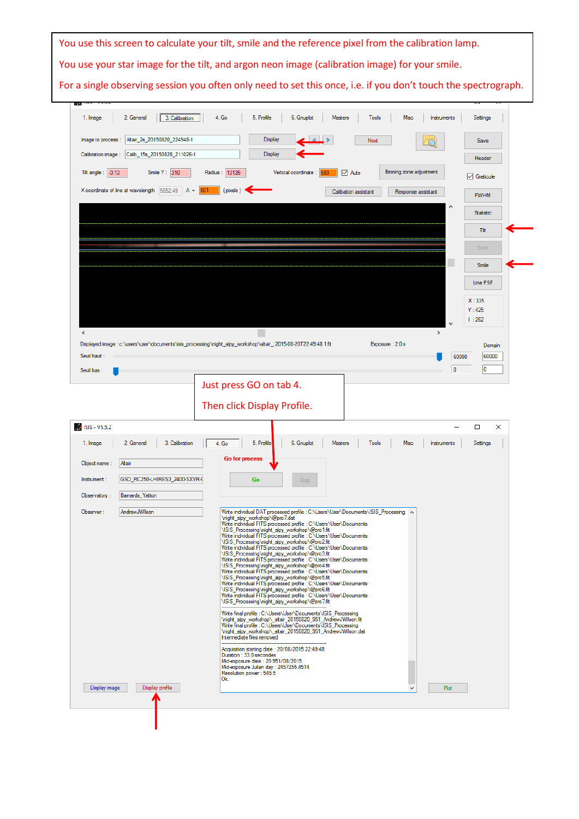|                                                     | You use this screen to calculate your tilt, smile and the reference pixel from the calibration lamp.                                                                                     |
|-----------------------------------------------------|------------------------------------------------------------------------------------------------------------------------------------------------------------------------------------------|
|                                                     | You use your star image for the tilt, and argon neon image (calibration image) for your smile.                                                                                           |
|                                                     | For a single observing session you often only need to set this once, i.e. if you don't touch the spectrograph.                                                                           |
|                                                     |                                                                                                                                                                                          |
| 2. General<br>3. Calibration<br>1. Image            | 4. Go<br>5. Profile<br>6. Gnuplot<br><b>Tools</b><br>Settings<br><b>Masters</b><br><b>Misc</b><br>Instruments                                                                            |
|                                                     |                                                                                                                                                                                          |
| Altair_2s_20150820_224948-1<br>Image to process     | <b>Display</b><br>Next<br>Save                                                                                                                                                           |
| Calib_15s_20150820_211026-1<br>Calibration image:   | <b>Display</b><br>Header                                                                                                                                                                 |
| Tilt angle: $-0.13$<br>Smile $Y: 310$               | Radius: 13135<br>Binning zone adjustment<br>Vertical coordinate :<br>$\vee$ Auto<br>$\sqrt{}$ Graticule                                                                                  |
| X coordinate of line at wavelength 5852.49<br>$A =$ | (pixels)<br>Calibation assistant<br>Response assistant<br><b>FWHM</b>                                                                                                                    |
|                                                     | $\wedge$<br><b>Statistic</b>                                                                                                                                                             |
|                                                     | Tit                                                                                                                                                                                      |
|                                                     | <b>Slant</b>                                                                                                                                                                             |
|                                                     | <b>Smile</b>                                                                                                                                                                             |
|                                                     | Line PSF                                                                                                                                                                                 |
|                                                     |                                                                                                                                                                                          |
|                                                     | X:335<br>Y:425                                                                                                                                                                           |
|                                                     | 1:262                                                                                                                                                                                    |
| $\overline{\phantom{a}}$                            | $\rightarrow$<br>Displayed image : c:\users\user\documents\isis_processing\night_alpy_workshop\altair_; 2015-08-20T22:49:48 1.fit<br>Exposure: 2.0 s<br>Domain                           |
| Seuil haut:                                         | 60000<br>60000                                                                                                                                                                           |
| Seuil bas:                                          | 10<br>$\bf{0}$                                                                                                                                                                           |
|                                                     | Just press GO on tab 4.                                                                                                                                                                  |
|                                                     | Then click Display Profile.                                                                                                                                                              |
| ISIS - V5.5.2                                       | □<br>×                                                                                                                                                                                   |
| 2. General<br>3. Calibration<br>1. Image            | 4. Go<br>5. Profile<br>Misc<br>6. Gnuplot<br><b>Masters</b><br><b>Tools</b><br>Instruments<br>Settings                                                                                   |
| Altair<br>Object name:                              | Go for process                                                                                                                                                                           |
| GSO_RC250-LHIRES3_2400-SXVR-I<br>Instrument:        | Go<br>Stop                                                                                                                                                                               |
| Observatory:<br>Bamards_Yatton                      |                                                                                                                                                                                          |
| AndrewJWilson<br>Observer:                          | Write individual DAT processed profile : C:\Users\User\Documents\ISIS_Processing A                                                                                                       |
|                                                     | \night_alpy_workshop\@pro7.dat<br>Write individual FITS processed profile : C:\Users\User\Documents                                                                                      |
|                                                     | \ISIS_Processing\night_alpy_workshop\@pro1.fit<br>Write individual FITS processed profile : C:\Users\User\Documents<br>\ISIS_Processing\night_alpy_workshop\@pro2.fit                    |
|                                                     | Write individual FITS processed profile : C:\Users\User\Documents<br>\ISIS_Processing\night_alpy_workshop\@pro3.fit<br>Write individual FITS processed profile : C:\Users\User\Documents |
|                                                     | \ISIS_Processing\night_alpy_workshop\@pro4.fit<br>Write individual FITS processed profile : C:\Users\User\Documents                                                                      |
|                                                     | \ISIS Processing\night alpy workshop\@pro5.fit<br>Write individual FITS processed profile : C:\Users\User\Documents<br>\ISIS_Processing\night_alpy_workshop\@pro6.fit                    |
|                                                     | Write individual FITS processed profile : C:\Users\User\Documents<br>\ISIS_Processing\night_alpy_workshop\@pro7.fit                                                                      |
|                                                     | Write final profile : C:\Users\User\Documents\ISIS_Processing<br>\night_alpy_workshop\_altair_20150820_951_AndrewJWilson.fit                                                             |
|                                                     | Write final profile : C:\Users\User\Documents\ISIS_Processing<br>\night_alpy_workshop\_altair_20150820_951_AndrewJWilson.dat<br>Intermediate files removed                               |
|                                                     | Acquisition starting date: 20/08/2015 22:49:48                                                                                                                                           |
|                                                     | Duration: 33.0 secondes<br>Mid-exposure date: 20.951/08/2015<br>Mid-exposure Julian day: 2457255.4514                                                                                    |
|                                                     |                                                                                                                                                                                          |
|                                                     | Resolution power: 545.5<br>Ok.                                                                                                                                                           |
| Display image<br>Display profile                    | Plot<br>v                                                                                                                                                                                |